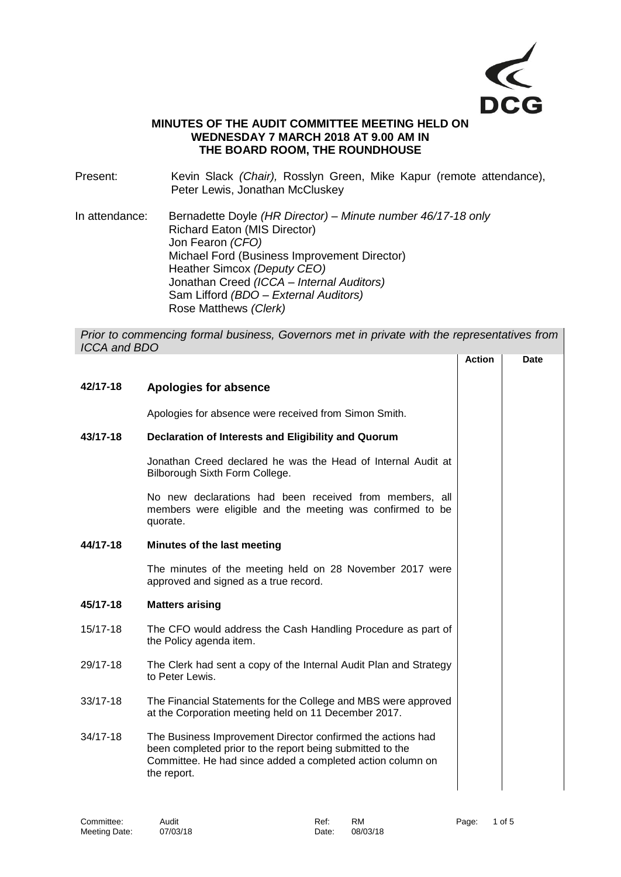

## **MINUTES OF THE AUDIT COMMITTEE MEETING HELD ON WEDNESDAY 7 MARCH 2018 AT 9.00 AM IN THE BOARD ROOM, THE ROUNDHOUSE**

Present: Kevin Slack *(Chair)*, Rosslyn Green, Mike Kapur (remote attendance), Peter Lewis, Jonathan McCluskey

In attendance: Bernadette Doyle *(HR Director) – Minute number 46/17-18 only* Richard Eaton (MIS Director) Jon Fearon *(CFO)* Michael Ford (Business Improvement Director) Heather Simcox *(Deputy CEO)* Jonathan Creed *(ICCA – Internal Auditors)* Sam Lifford *(BDO – External Auditors)* Rose Matthews *(Clerk)*

*Prior to commencing formal business, Governors met in private with the representatives from ICCA and BDO*

|              |                                                                                                                                                                                                       | <b>Action</b> | Date |
|--------------|-------------------------------------------------------------------------------------------------------------------------------------------------------------------------------------------------------|---------------|------|
| 42/17-18     | Apologies for absence                                                                                                                                                                                 |               |      |
|              | Apologies for absence were received from Simon Smith.                                                                                                                                                 |               |      |
| 43/17-18     | Declaration of Interests and Eligibility and Quorum                                                                                                                                                   |               |      |
|              | Jonathan Creed declared he was the Head of Internal Audit at<br>Bilborough Sixth Form College.                                                                                                        |               |      |
|              | No new declarations had been received from members, all<br>members were eligible and the meeting was confirmed to be<br>quorate.                                                                      |               |      |
| 44/17-18     | Minutes of the last meeting                                                                                                                                                                           |               |      |
|              | The minutes of the meeting held on 28 November 2017 were<br>approved and signed as a true record.                                                                                                     |               |      |
| 45/17-18     | <b>Matters arising</b>                                                                                                                                                                                |               |      |
| 15/17-18     | The CFO would address the Cash Handling Procedure as part of<br>the Policy agenda item.                                                                                                               |               |      |
| 29/17-18     | The Clerk had sent a copy of the Internal Audit Plan and Strategy<br>to Peter Lewis.                                                                                                                  |               |      |
| 33/17-18     | The Financial Statements for the College and MBS were approved<br>at the Corporation meeting held on 11 December 2017.                                                                                |               |      |
| $34/17 - 18$ | The Business Improvement Director confirmed the actions had<br>been completed prior to the report being submitted to the<br>Committee. He had since added a completed action column on<br>the report. |               |      |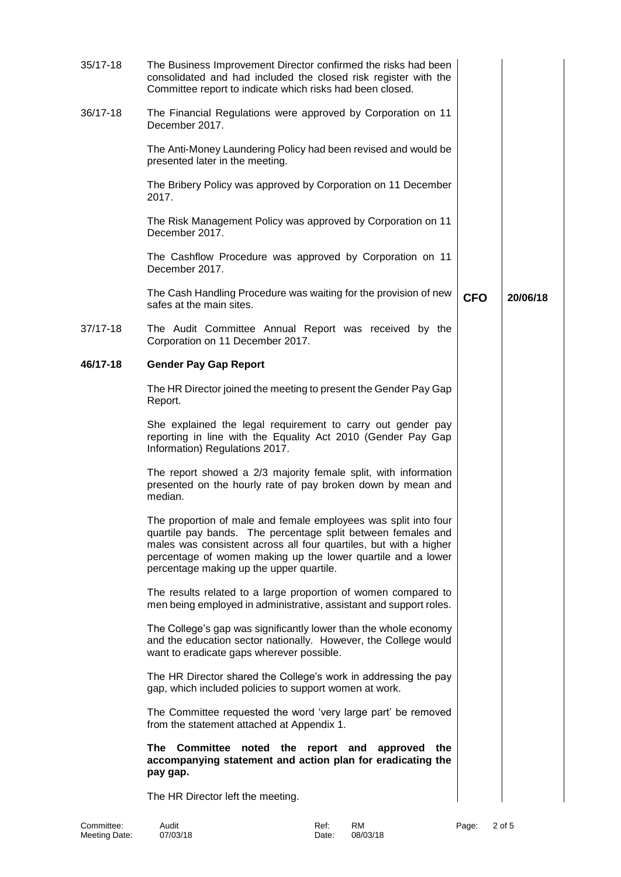| $35/17 - 18$ | The Business Improvement Director confirmed the risks had been<br>consolidated and had included the closed risk register with the<br>Committee report to indicate which risks had been closed.                                                                                                                   |            |          |
|--------------|------------------------------------------------------------------------------------------------------------------------------------------------------------------------------------------------------------------------------------------------------------------------------------------------------------------|------------|----------|
| 36/17-18     | The Financial Regulations were approved by Corporation on 11<br>December 2017.                                                                                                                                                                                                                                   |            |          |
|              | The Anti-Money Laundering Policy had been revised and would be<br>presented later in the meeting.                                                                                                                                                                                                                |            |          |
|              | The Bribery Policy was approved by Corporation on 11 December<br>2017.                                                                                                                                                                                                                                           |            |          |
|              | The Risk Management Policy was approved by Corporation on 11<br>December 2017.                                                                                                                                                                                                                                   |            |          |
|              | The Cashflow Procedure was approved by Corporation on 11<br>December 2017.                                                                                                                                                                                                                                       |            |          |
|              | The Cash Handling Procedure was waiting for the provision of new<br>safes at the main sites.                                                                                                                                                                                                                     | <b>CFO</b> | 20/06/18 |
| 37/17-18     | The Audit Committee Annual Report was received by the<br>Corporation on 11 December 2017.                                                                                                                                                                                                                        |            |          |
| 46/17-18     | <b>Gender Pay Gap Report</b>                                                                                                                                                                                                                                                                                     |            |          |
|              | The HR Director joined the meeting to present the Gender Pay Gap<br>Report.                                                                                                                                                                                                                                      |            |          |
|              | She explained the legal requirement to carry out gender pay<br>reporting in line with the Equality Act 2010 (Gender Pay Gap<br>Information) Regulations 2017.                                                                                                                                                    |            |          |
|              | The report showed a 2/3 majority female split, with information<br>presented on the hourly rate of pay broken down by mean and<br>median.                                                                                                                                                                        |            |          |
|              | The proportion of male and female employees was split into four<br>quartile pay bands. The percentage split between females and<br>males was consistent across all four quartiles, but with a higher<br>percentage of women making up the lower quartile and a lower<br>percentage making up the upper quartile. |            |          |
|              | The results related to a large proportion of women compared to<br>men being employed in administrative, assistant and support roles.                                                                                                                                                                             |            |          |
|              | The College's gap was significantly lower than the whole economy<br>and the education sector nationally. However, the College would<br>want to eradicate gaps wherever possible.                                                                                                                                 |            |          |
|              | The HR Director shared the College's work in addressing the pay<br>gap, which included policies to support women at work.                                                                                                                                                                                        |            |          |
|              | The Committee requested the word 'very large part' be removed<br>from the statement attached at Appendix 1.                                                                                                                                                                                                      |            |          |
|              | The Committee noted the report and<br>approved the<br>accompanying statement and action plan for eradicating the<br>pay gap.                                                                                                                                                                                     |            |          |
|              | The HR Director left the meeting.                                                                                                                                                                                                                                                                                |            |          |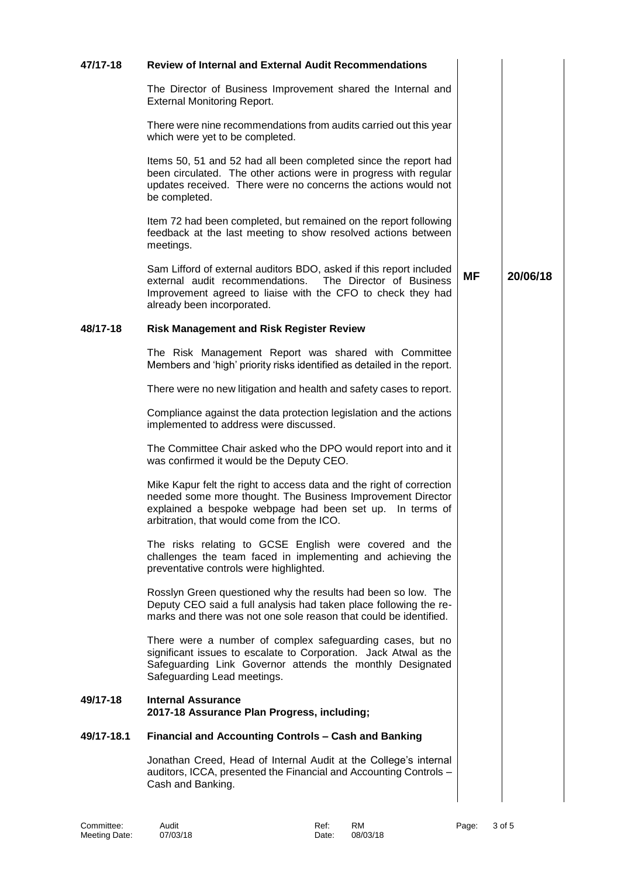| 47/17-18   | <b>Review of Internal and External Audit Recommendations</b>                                                                                                                                                                                  |           |          |
|------------|-----------------------------------------------------------------------------------------------------------------------------------------------------------------------------------------------------------------------------------------------|-----------|----------|
|            | The Director of Business Improvement shared the Internal and<br><b>External Monitoring Report.</b>                                                                                                                                            |           |          |
|            | There were nine recommendations from audits carried out this year<br>which were yet to be completed.                                                                                                                                          |           |          |
|            | Items 50, 51 and 52 had all been completed since the report had<br>been circulated. The other actions were in progress with regular<br>updates received. There were no concerns the actions would not<br>be completed.                        |           |          |
|            | Item 72 had been completed, but remained on the report following<br>feedback at the last meeting to show resolved actions between<br>meetings.                                                                                                |           |          |
|            | Sam Lifford of external auditors BDO, asked if this report included<br>external audit recommendations. The Director of Business<br>Improvement agreed to liaise with the CFO to check they had<br>already been incorporated.                  | <b>MF</b> | 20/06/18 |
| 48/17-18   | <b>Risk Management and Risk Register Review</b>                                                                                                                                                                                               |           |          |
|            | The Risk Management Report was shared with Committee<br>Members and 'high' priority risks identified as detailed in the report.                                                                                                               |           |          |
|            | There were no new litigation and health and safety cases to report.                                                                                                                                                                           |           |          |
|            | Compliance against the data protection legislation and the actions<br>implemented to address were discussed.                                                                                                                                  |           |          |
|            | The Committee Chair asked who the DPO would report into and it<br>was confirmed it would be the Deputy CEO.                                                                                                                                   |           |          |
|            | Mike Kapur felt the right to access data and the right of correction<br>needed some more thought. The Business Improvement Director<br>explained a bespoke webpage had been set up. In terms of<br>arbitration, that would come from the ICO. |           |          |
|            | The risks relating to GCSE English were covered and the<br>challenges the team faced in implementing and achieving the<br>preventative controls were highlighted.                                                                             |           |          |
|            | Rosslyn Green questioned why the results had been so low. The<br>Deputy CEO said a full analysis had taken place following the re-<br>marks and there was not one sole reason that could be identified.                                       |           |          |
|            | There were a number of complex safeguarding cases, but no<br>significant issues to escalate to Corporation. Jack Atwal as the<br>Safeguarding Link Governor attends the monthly Designated<br>Safeguarding Lead meetings.                     |           |          |
| 49/17-18   | <b>Internal Assurance</b><br>2017-18 Assurance Plan Progress, including;                                                                                                                                                                      |           |          |
| 49/17-18.1 | <b>Financial and Accounting Controls - Cash and Banking</b>                                                                                                                                                                                   |           |          |
|            | Jonathan Creed, Head of Internal Audit at the College's internal<br>auditors, ICCA, presented the Financial and Accounting Controls -<br>Cash and Banking.                                                                                    |           |          |

Committee:<br>Meeting Date: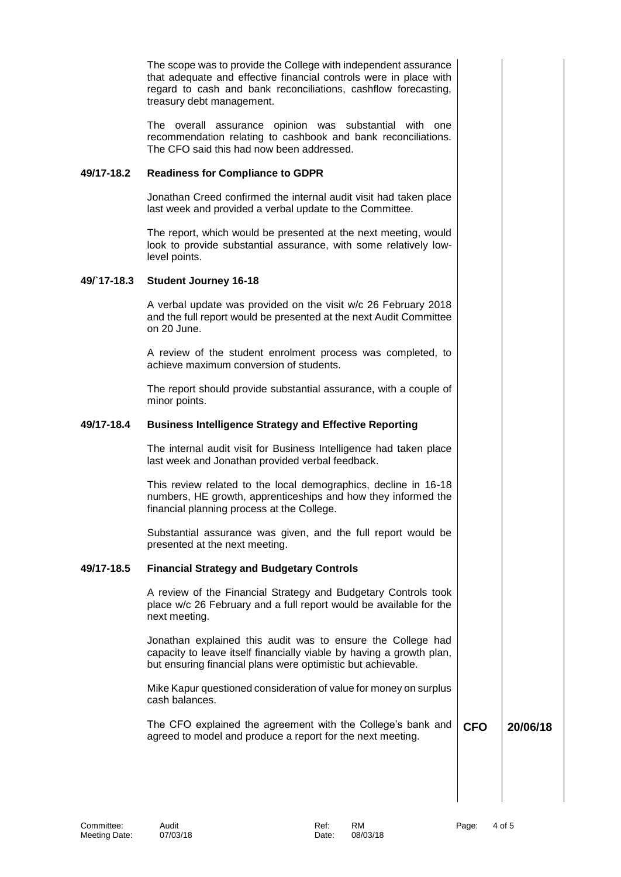|             | The scope was to provide the College with independent assurance<br>that adequate and effective financial controls were in place with<br>regard to cash and bank reconciliations, cashflow forecasting,<br>treasury debt management. |            |          |
|-------------|-------------------------------------------------------------------------------------------------------------------------------------------------------------------------------------------------------------------------------------|------------|----------|
|             | The overall assurance opinion was substantial with one<br>recommendation relating to cashbook and bank reconciliations.<br>The CFO said this had now been addressed.                                                                |            |          |
| 49/17-18.2  | <b>Readiness for Compliance to GDPR</b>                                                                                                                                                                                             |            |          |
|             | Jonathan Creed confirmed the internal audit visit had taken place<br>last week and provided a verbal update to the Committee.                                                                                                       |            |          |
|             | The report, which would be presented at the next meeting, would<br>look to provide substantial assurance, with some relatively low-<br>level points.                                                                                |            |          |
| 49/`17-18.3 | <b>Student Journey 16-18</b>                                                                                                                                                                                                        |            |          |
|             | A verbal update was provided on the visit w/c 26 February 2018<br>and the full report would be presented at the next Audit Committee<br>on 20 June.                                                                                 |            |          |
|             | A review of the student enrolment process was completed, to<br>achieve maximum conversion of students.                                                                                                                              |            |          |
|             | The report should provide substantial assurance, with a couple of<br>minor points.                                                                                                                                                  |            |          |
| 49/17-18.4  | <b>Business Intelligence Strategy and Effective Reporting</b>                                                                                                                                                                       |            |          |
|             | The internal audit visit for Business Intelligence had taken place<br>last week and Jonathan provided verbal feedback.                                                                                                              |            |          |
|             | This review related to the local demographics, decline in 16-18<br>numbers, HE growth, apprenticeships and how they informed the<br>financial planning process at the College.                                                      |            |          |
|             | Substantial assurance was given, and the full report would be<br>presented at the next meeting.                                                                                                                                     |            |          |
| 49/17-18.5  | <b>Financial Strategy and Budgetary Controls</b>                                                                                                                                                                                    |            |          |
|             | A review of the Financial Strategy and Budgetary Controls took<br>place w/c 26 February and a full report would be available for the<br>next meeting.                                                                               |            |          |
|             | Jonathan explained this audit was to ensure the College had<br>capacity to leave itself financially viable by having a growth plan,<br>but ensuring financial plans were optimistic but achievable.                                 |            |          |
|             | Mike Kapur questioned consideration of value for money on surplus<br>cash balances.                                                                                                                                                 |            |          |
|             | The CFO explained the agreement with the College's bank and<br>agreed to model and produce a report for the next meeting.                                                                                                           | <b>CFO</b> | 20/06/18 |
|             |                                                                                                                                                                                                                                     |            |          |
|             |                                                                                                                                                                                                                                     |            |          |
|             |                                                                                                                                                                                                                                     |            |          |